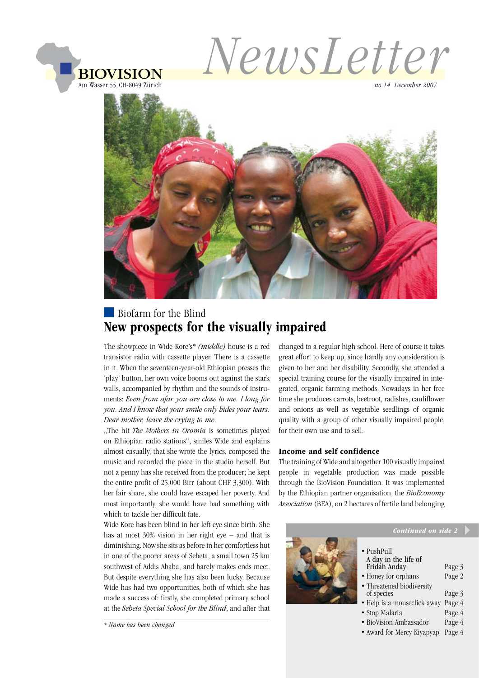

*no.14 December 2007*



## **Biofarm** for the Blind New prospects for the visually impaired

The showpiece in Wide Kore's\* *(middle)* house is a red transistor radio with cassette player. There is a cassette in it. When the seventeen-year-old Ethiopian presses the 'play' button, her own voice booms out against the stark walls, accompanied by rhythm and the sounds of instruments: *Even from afar you are close to me. I long for you. And I know that your smile only hides your tears. Dear mother, leave the crying to me*.

"The hit *The Mothers in Oromia* is sometimes played on Ethiopian radio stations", smiles Wide and explains almost casually, that she wrote the lyrics, composed the music and recorded the piece in the studio herself. But not a penny has she received from the producer; he kept the entire profit of 25,000 Birr (about CHF 3,300). With her fair share, she could have escaped her poverty. And most importantly, she would have had something with which to tackle her difficult fate.

Wide Kore has been blind in her left eye since birth. She has at most 30% vision in her right eye – and that is diminishing. Now she sits as before in her comfortless hut in one of the poorer areas of Sebeta, a small town 25 km southwest of Addis Ababa, and barely makes ends meet. But despite everything she has also been lucky. Because Wide has had two opportunities, both of which she has made a success of: firstly, she completed primary school at the *Sebeta Special School for the Blind*, and after that

*\* Name has been changed*

changed to a regular high school. Here of course it takes great effort to keep up, since hardly any consideration is given to her and her disability. Secondly, she attended a special training course for the visually impaired in integrated, organic farming methods. Nowadays in her free time she produces carrots, beetroot, radishes, cauliflower and onions as well as vegetable seedlings of organic quality with a group of other visually impaired people, for their own use and to sell.

#### Income and self confidence

The training of Wide and altogether 100 visually impaired people in vegetable production was made possible through the BioVision Foundation. It was implemented by the Ethiopian partner organisation, the *BioEconomy Association* (BEA), on 2 hectares of fertile land belonging

| Continued on side 2                                                                                                                                                                                     |                                                          |
|---------------------------------------------------------------------------------------------------------------------------------------------------------------------------------------------------------|----------------------------------------------------------|
| $\bullet$ PushPull<br>A day in the life of<br>Fridah Anday<br>• Honey for orphans<br>• Threatened biodiversity<br>of species<br>• Help is a mouseclick away<br>• Stop Malaria<br>• BioVision Ambassador | Page 3<br>Page 2<br>Page 3<br>Page 4<br>Page 4<br>Page 4 |
|                                                                                                                                                                                                         |                                                          |

• Award for Mercy Kiyapyap Page 4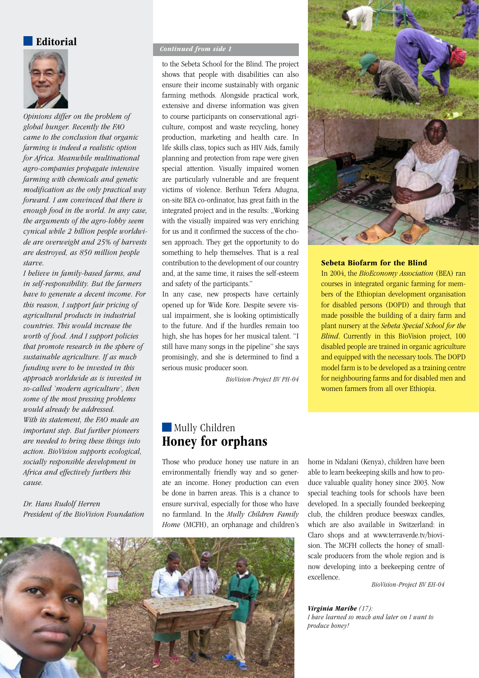#### Editorial



*Opinions differ on the problem of global hunger. Recently the FAO came to the conclusion that organic farming is indeed a realistic option for Africa. Meanwhile multinational agro-companies propagate intensive farming with chemicals and genetic modification as the only practical way forward. I am convinced that there is enough food in the world. In any case, the arguments of the agro-lobby seem cynical while 2 billion people worldwide are overweight and 25% of harvests are destroyed, as 850 million people starve.* 

*I believe in family-based farms, and in self-responsibility. But the farmers have to generate a decent income. For this reason, I support fair pricing of agricultural products in industrial countries. This would increase the worth of food. And I support policies that promote research in the sphere of sustainable agriculture. If as much funding were to be invested in this approach worldwide as is invested in so-called 'modern agriculture', then some of the most pressing problems would already be addressed. With its statement, the FAO made an important step. But further pioneers are needed to bring these things into action. BioVision supports ecological, socially responsible development in Africa and effectively furthers this cause.*

*Dr. Hans Rudolf Herren President of the BioVision Foundation*

#### *Continued from side 1*

to the Sebeta School for the Blind. The project shows that people with disabilities can also ensure their income sustainably with organic farming methods. Alongside practical work, extensive and diverse information was given to course participants on conservational agriculture, compost and waste recycling, honey production, marketing and health care. In life skills class, topics such as HIV Aids, family planning and protection from rape were given special attention. Visually impaired women are particularly vulnerable and are frequent victims of violence. Berihun Tefera Adugna, on-site BEA co-ordinator, has great faith in the integrated project and in the results: "Working with the visually impaired was very enriching for us and it confirmed the success of the chosen approach. They get the opportunity to do something to help themselves. That is a real contribution to the development of our country and, at the same time, it raises the self-esteem and safety of the participants."

In any case, new prospects have certainly opened up for Wide Kore. Despite severe visual impairment, she is looking optimistically to the future. And if the hurdles remain too high, she has hopes for her musical talent. "I still have many songs in the pipeline" she says promisingly, and she is determined to find a serious music producer soon.

*BioVision-Project BV PH-04*

## **Mully Children** Honey for orphans

Those who produce honey use nature in an environmentally friendly way and so generate an income. Honey production can even be done in barren areas. This is a chance to ensure survival, especially for those who have no farmland. In the *Mully Children Family Home* (MCFH), an orphanage and children's



*BioVision-Project BV EH-04*

*Virginia Maribe (17): I have learned so much and later on I want to produce honey!*





#### Sebeta Biofarm for the Blind

In 2004, the *BioEconomy Association* (BEA) ran courses in integrated organic farming for members of the Ethiopian development organisation for disabled persons (DOPD) and through that made possible the building of a dairy farm and plant nursery at the *Sebeta Special School for the Blind*. Currently in this BioVision project, 100 disabled people are trained in organic agriculture and equipped with the necessary tools. The DOPD model farm is to be developed as a training centre for neighbouring farms and for disabled men and women farmers from all over Ethiopia.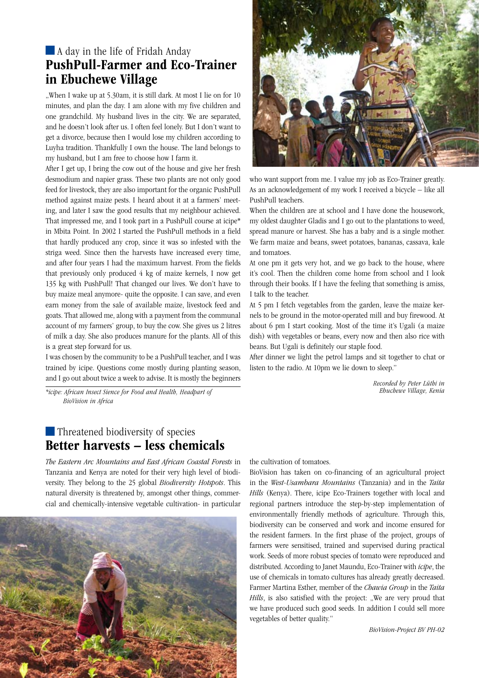## A day in the life of Fridah Anday PushPull-Farmer and Eco-Trainer in Ebuchewe Village

..When I wake up at 5.30am, it is still dark. At most I lie on for 10 minutes, and plan the day. I am alone with my five children and one grandchild. My husband lives in the city. We are separated, and he doesn't look after us. I often feel lonely. But I don't want to get a divorce, because then I would lose my children according to Luyha tradition. Thankfully I own the house. The land belongs to my husband, but I am free to choose how I farm it.

After I get up, I bring the cow out of the house and give her fresh desmodium and napier grass. These two plants are not only good feed for livestock, they are also important for the organic PushPull method against maize pests. I heard about it at a farmers' meeting, and later I saw the good results that my neighbour achieved. That impressed me, and I took part in a PushPull course at icipe\* in Mbita Point. In 2002 I started the PushPull methods in a field that hardly produced any crop, since it was so infested with the striga weed. Since then the harvests have increased every time, and after four years I had the maximum harvest. From the fields that previously only produced 4 kg of maize kernels, I now get 135 kg with PushPull! That changed our lives. We don't have to buy maize meal anymore- quite the opposite. I can save, and even earn money from the sale of available maize, livestock feed and goats. That allowed me, along with a payment from the communal account of my farmers' group, to buy the cow. She gives us 2 litres of milk a day. She also produces manure for the plants. All of this is a great step forward for us.

I was chosen by the community to be a PushPull teacher, and I was trained by icipe. Questions come mostly during planting season, and I go out about twice a week to advise. It is mostly the beginners

*\*icipe: African Insect Sience for Food and Health, Headpart of BioVision in Africa*

#### **Threatened biodiversity of species** Better harvests – less chemicals

*The Eastern Arc Mountains and East African Coastal Forests* in Tanzania and Kenya are noted for their very high level of biodiversity. They belong to the 25 global *Biodiversity Hotspots*. This natural diversity is threatened by, amongst other things, commercial and chemically-intensive vegetable cultivation- in particular





who want support from me. I value my job as Eco-Trainer greatly. As an acknowledgement of my work I received a bicycle – like all PushPull teachers.

When the children are at school and I have done the housework, my oldest daughter Gladis and I go out to the plantations to weed, spread manure or harvest. She has a baby and is a single mother. We farm maize and beans, sweet potatoes, bananas, cassava, kale and tomatoes.

At one pm it gets very hot, and we go back to the house, where it's cool. Then the children come home from school and I look through their books. If I have the feeling that something is amiss, I talk to the teacher.

At 5 pm I fetch vegetables from the garden, leave the maize kernels to be ground in the motor-operated mill and buy firewood. At about 6 pm I start cooking. Most of the time it's Ugali (a maize dish) with vegetables or beans, every now and then also rice with beans. But Ugali is definitely our staple food.

After dinner we light the petrol lamps and sit together to chat or listen to the radio. At 10pm we lie down to sleep."

> *Recorded by Peter Lüthi in Ebuchewe Village, Kenia*

the cultivation of tomatoes.

BioVision has taken on co-financing of an agricultural project in the *West-Usambara Mountains* (Tanzania) and in the *Taita Hills* (Kenya). There, icipe Eco-Trainers together with local and regional partners introduce the step-by-step implementation of environmentally friendly methods of agriculture. Through this, biodiversity can be conserved and work and income ensured for the resident farmers. In the first phase of the project, groups of farmers were sensitised, trained and supervised during practical work. Seeds of more robust species of tomato were reproduced and distributed. According to Janet Maundu, Eco-Trainer with *icipe*, the use of chemicals in tomato cultures has already greatly decreased. Farmer Martina Esther, member of the *Chawia Group* in the *Taita Hills*, is also satisfied with the project: "We are very proud that we have produced such good seeds. In addition I could sell more vegetables of better quality."

*BioVision-Project BV PH-02*